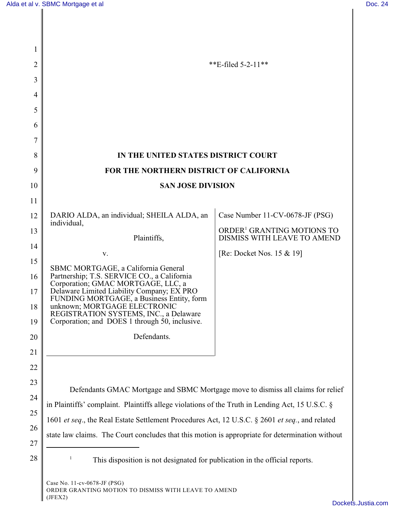| 1        |                                                                                                 |                                                                       |
|----------|-------------------------------------------------------------------------------------------------|-----------------------------------------------------------------------|
| 2        |                                                                                                 | **E-filed $5-2-11$ **                                                 |
| 3        |                                                                                                 |                                                                       |
| 4        |                                                                                                 |                                                                       |
| 5        |                                                                                                 |                                                                       |
| 6        |                                                                                                 |                                                                       |
| 7        |                                                                                                 |                                                                       |
| 8        | IN THE UNITED STATES DISTRICT COURT                                                             |                                                                       |
| 9        | FOR THE NORTHERN DISTRICT OF CALIFORNIA                                                         |                                                                       |
| 10       | <b>SAN JOSE DIVISION</b>                                                                        |                                                                       |
| 11       |                                                                                                 |                                                                       |
| 12       | DARIO ALDA, an individual; SHEILA ALDA, an<br>individual,                                       | Case Number 11-CV-0678-JF (PSG)                                       |
| 13       | Plaintiffs,                                                                                     | ORDER <sup>1</sup> GRANTING MOTIONS TO<br>DISMISS WITH LEAVE TO AMEND |
| 14       | V.                                                                                              | [Re: Docket Nos. 15 & 19]                                             |
| 15       | SBMC MORTGAGE, a California General                                                             |                                                                       |
| 16       | Partnership; T.S. SERVICE CO., a California<br>Corporation; GMAC MORTGAGE, LLC, a               |                                                                       |
| 17       | Delaware Limited Liability Company; EX PRO<br>FUNDING MORTGAGE, a Business Entity, form         |                                                                       |
| 18       | unknown; MORTGAGE ELECTRONIC<br>REGISTRATION SYSTEMS, INC., a Delaware                          |                                                                       |
| 19       | Corporation; and DOES 1 through 50, inclusive.                                                  |                                                                       |
| 20       | Defendants.                                                                                     |                                                                       |
| 21       |                                                                                                 |                                                                       |
| 22<br>23 |                                                                                                 |                                                                       |
| 24       | Defendants GMAC Mortgage and SBMC Mortgage move to dismiss all claims for relief                |                                                                       |
| 25       | in Plaintiffs' complaint. Plaintiffs allege violations of the Truth in Lending Act, 15 U.S.C. § |                                                                       |
| 26       | 1601 et seq., the Real Estate Settlement Procedures Act, 12 U.S.C. § 2601 et seq., and related  |                                                                       |
| 27       | state law claims. The Court concludes that this motion is appropriate for determination without |                                                                       |
| 28       | This disposition is not designated for publication in the official reports.                     |                                                                       |
|          |                                                                                                 |                                                                       |
|          |                                                                                                 |                                                                       |